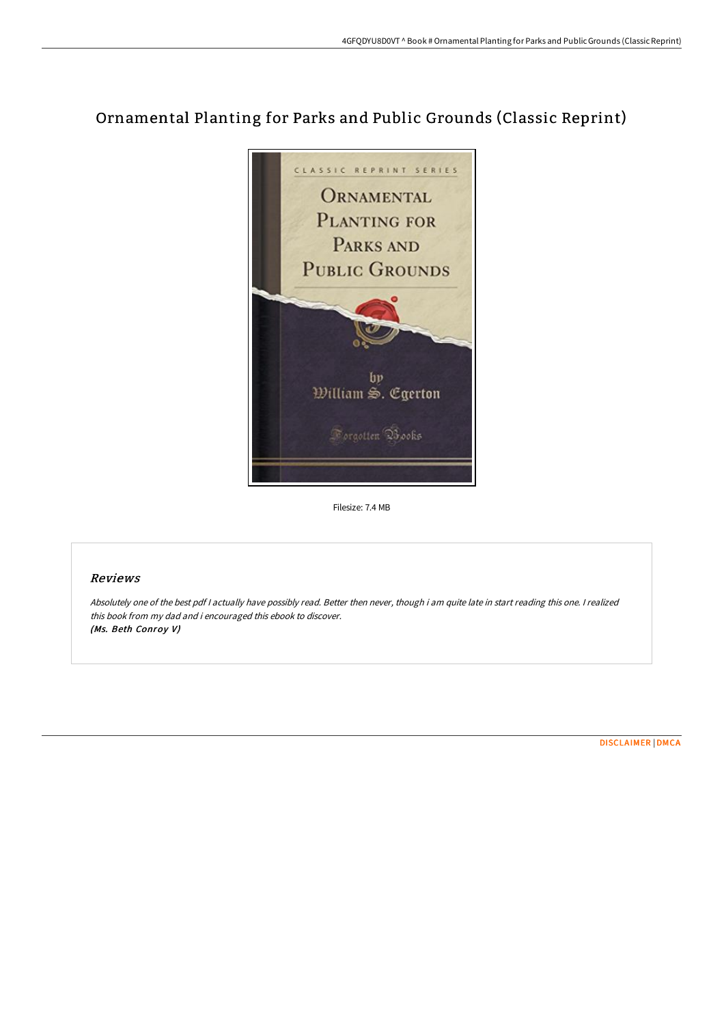# Ornamental Planting for Parks and Public Grounds (Classic Reprint)



Filesize: 7.4 MB

## Reviews

Absolutely one of the best pdf <sup>I</sup> actually have possibly read. Better then never, though i am quite late in start reading this one. <sup>I</sup> realized this book from my dad and i encouraged this ebook to discover. (Ms. Beth Conroy V)

[DISCLAIMER](http://bookera.tech/disclaimer.html) | [DMCA](http://bookera.tech/dmca.html)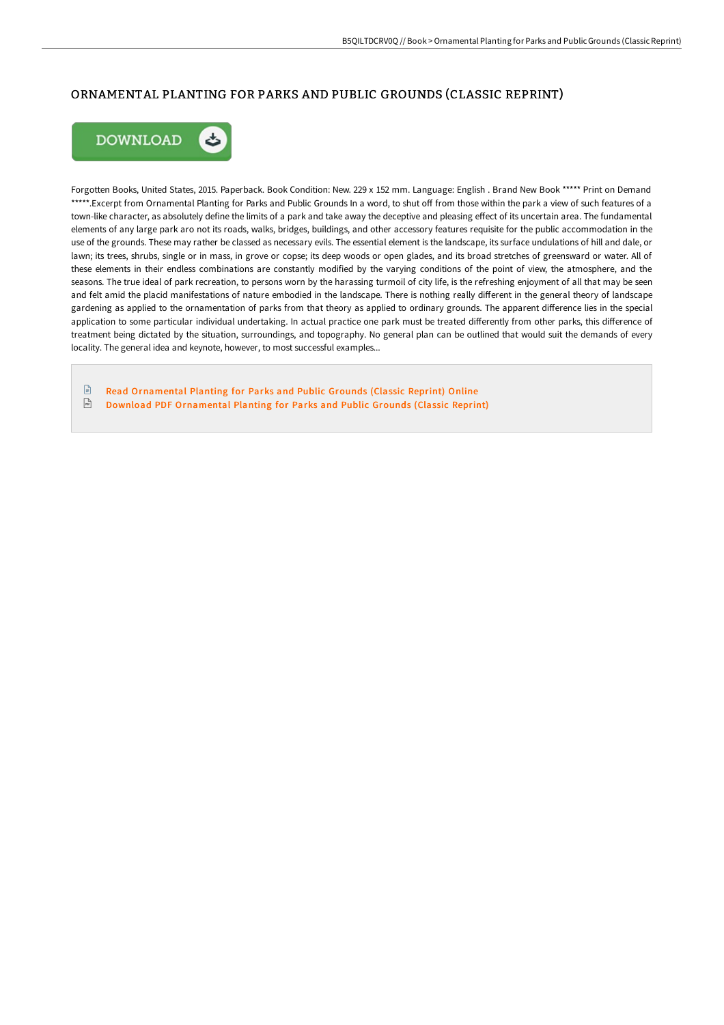### ORNAMENTAL PLANTING FOR PARKS AND PUBLIC GROUNDS (CLASSIC REPRINT)



Forgotten Books, United States, 2015. Paperback. Book Condition: New. 229 x 152 mm. Language: English . Brand New Book \*\*\*\*\* Print on Demand \*\*\*\*\*.Excerpt from Ornamental Planting for Parks and Public Grounds In a word, to shut off from those within the park a view of such features of a town-like character, as absolutely define the limits of a park and take away the deceptive and pleasing effect of its uncertain area. The fundamental elements of any large park aro not its roads, walks, bridges, buildings, and other accessory features requisite for the public accommodation in the use of the grounds. These may rather be classed as necessary evils. The essential element is the landscape, its surface undulations of hill and dale, or lawn; its trees, shrubs, single or in mass, in grove or copse; its deep woods or open glades, and its broad stretches of greensward or water. All of these elements in their endless combinations are constantly modified by the varying conditions of the point of view, the atmosphere, and the seasons. The true ideal of park recreation, to persons worn by the harassing turmoil of city life, is the refreshing enjoyment of all that may be seen and felt amid the placid manifestations of nature embodied in the landscape. There is nothing really different in the general theory of landscape gardening as applied to the ornamentation of parks from that theory as applied to ordinary grounds. The apparent difference lies in the special application to some particular individual undertaking. In actual practice one park must be treated differently from other parks, this difference of treatment being dictated by the situation, surroundings, and topography. No general plan can be outlined that would suit the demands of every locality. The general idea and keynote, however, to most successful examples...

 $\mathbb{R}$ Read [Ornamental](http://bookera.tech/ornamental-planting-for-parks-and-public-grounds.html) Planting for Parks and Public Grounds (Classic Reprint) Online  $\frac{1}{100}$ Download PDF [Ornamental](http://bookera.tech/ornamental-planting-for-parks-and-public-grounds.html) Planting for Parks and Public Grounds (Classic Reprint)